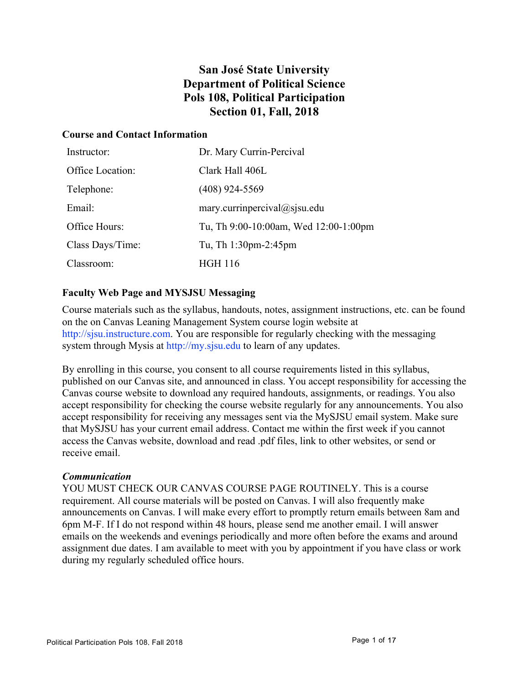# **San José State University Department of Political Science Pols 108, Political Participation Section 01, Fall, 2018**

### **Course and Contact Information**

| Instructor:      | Dr. Mary Currin-Percival              |
|------------------|---------------------------------------|
| Office Location: | Clark Hall 406L                       |
| Telephone:       | $(408)$ 924-5569                      |
| Email:           | mary.currinpercival $@$ sjsu.edu      |
| Office Hours:    | Tu, Th 9:00-10:00am, Wed 12:00-1:00pm |
| Class Days/Time: | Tu, Th 1:30pm-2:45pm                  |
| Classroom:       | HGH 116                               |

# **Faculty Web Page and MYSJSU Messaging**

Course materials such as the syllabus, handouts, notes, assignment instructions, etc. can be found on the on Canvas Leaning Management System course login website at http://sisu.instructure.com. You are responsible for regularly checking with the messaging system through Mysis at http://my.sjsu.edu to learn of any updates.

By enrolling in this course, you consent to all course requirements listed in this syllabus, published on our Canvas site, and announced in class. You accept responsibility for accessing the Canvas course website to download any required handouts, assignments, or readings. You also accept responsibility for checking the course website regularly for any announcements. You also accept responsibility for receiving any messages sent via the MySJSU email system. Make sure that MySJSU has your current email address. Contact me within the first week if you cannot access the Canvas website, download and read .pdf files, link to other websites, or send or receive email.

#### *Communication*

YOU MUST CHECK OUR CANVAS COURSE PAGE ROUTINELY. This is a course requirement. All course materials will be posted on Canvas. I will also frequently make announcements on Canvas. I will make every effort to promptly return emails between 8am and 6pm M-F. If I do not respond within 48 hours, please send me another email. I will answer emails on the weekends and evenings periodically and more often before the exams and around assignment due dates. I am available to meet with you by appointment if you have class or work during my regularly scheduled office hours.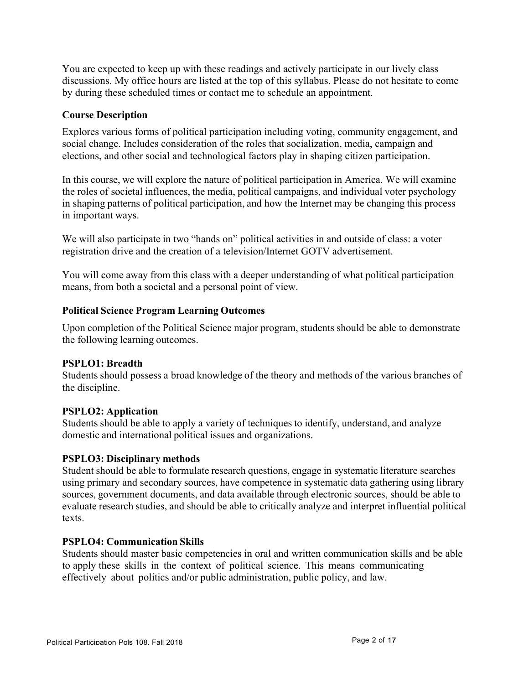You are expected to keep up with these readings and actively participate in our lively class discussions. My office hours are listed at the top of this syllabus. Please do not hesitate to come by during these scheduled times or contact me to schedule an appointment.

# **Course Description**

Explores various forms of political participation including voting, community engagement, and social change. Includes consideration of the roles that socialization, media, campaign and elections, and other social and technological factors play in shaping citizen participation.

In this course, we will explore the nature of political participation in America. We will examine the roles of societal influences, the media, political campaigns, and individual voter psychology in shaping patterns of political participation, and how the Internet may be changing this process in important ways.

We will also participate in two "hands on" political activities in and outside of class: a voter registration drive and the creation of a television/Internet GOTV advertisement.

You will come away from this class with a deeper understanding of what political participation means, from both a societal and a personal point of view.

#### **Political Science Program Learning Outcomes**

Upon completion of the Political Science major program, students should be able to demonstrate the following learning outcomes.

#### **PSPLO1: Breadth**

Students should possess a broad knowledge of the theory and methods of the various branches of the discipline.

#### **PSPLO2: Application**

Students should be able to apply a variety of techniques to identify, understand, and analyze domestic and international political issues and organizations.

#### **PSPLO3: Disciplinary methods**

Student should be able to formulate research questions, engage in systematic literature searches using primary and secondary sources, have competence in systematic data gathering using library sources, government documents, and data available through electronic sources, should be able to evaluate research studies, and should be able to critically analyze and interpret influential political texts.

#### **PSPLO4: Communication Skills**

Students should master basic competencies in oral and written communication skills and be able to apply these skills in the context of political science. This means communicating effectively about politics and/or public administration, public policy, and law.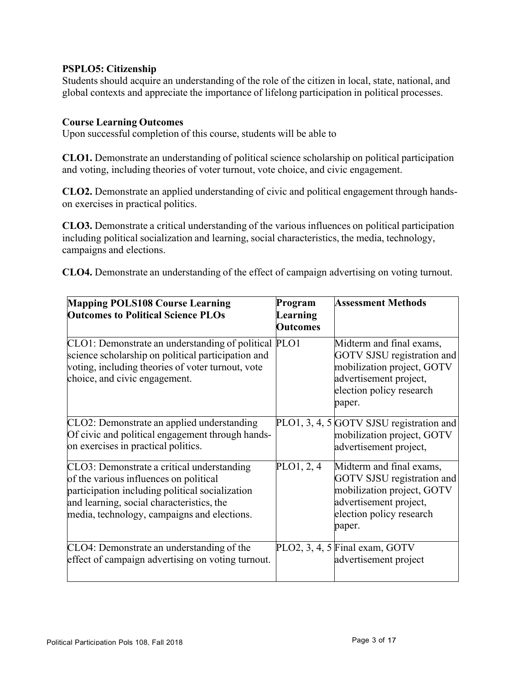### **PSPLO5: Citizenship**

Students should acquire an understanding of the role of the citizen in local, state, national, and global contexts and appreciate the importance of lifelong participation in political processes.

#### **Course Learning Outcomes**

Upon successful completion of this course, students will be able to

**CLO1.** Demonstrate an understanding of political science scholarship on political participation and voting, including theories of voter turnout, vote choice, and civic engagement.

**CLO2.** Demonstrate an applied understanding of civic and political engagement through handson exercises in practical politics.

**CLO3.** Demonstrate a critical understanding of the various influences on political participation including political socialization and learning, social characteristics, the media, technology, campaigns and elections.

**CLO4.** Demonstrate an understanding of the effect of campaign advertising on voting turnout.

| <b>Mapping POLS108 Course Learning</b><br><b>Outcomes to Political Science PLOs</b>                                                                                                                                                 | Program<br>Learning<br><b>Outcomes</b> | <b>Assessment Methods</b>                                                                                                                            |
|-------------------------------------------------------------------------------------------------------------------------------------------------------------------------------------------------------------------------------------|----------------------------------------|------------------------------------------------------------------------------------------------------------------------------------------------------|
| CLO1: Demonstrate an understanding of political PLO1<br>science scholarship on political participation and<br>voting, including theories of voter turnout, vote<br>choice, and civic engagement.                                    |                                        | Midterm and final exams,<br>GOTV SJSU registration and<br>mobilization project, GOTV<br>advertisement project,<br>election policy research<br>paper. |
| CLO2: Demonstrate an applied understanding<br>Of civic and political engagement through hands-<br>on exercises in practical politics.                                                                                               |                                        | PLO1, 3, 4, 5 GOTV SJSU registration and<br>mobilization project, GOTV<br>advertisement project,                                                     |
| CLO3: Demonstrate a critical understanding<br>of the various influences on political<br>participation including political socialization<br>and learning, social characteristics, the<br>media, technology, campaigns and elections. | PLO1, 2, 4                             | Midterm and final exams,<br>GOTV SJSU registration and<br>mobilization project, GOTV<br>advertisement project,<br>election policy research<br>paper. |
| CLO4: Demonstrate an understanding of the<br>effect of campaign advertising on voting turnout.                                                                                                                                      |                                        | PLO2, 3, 4, 5 Final exam, GOTV<br>advertisement project                                                                                              |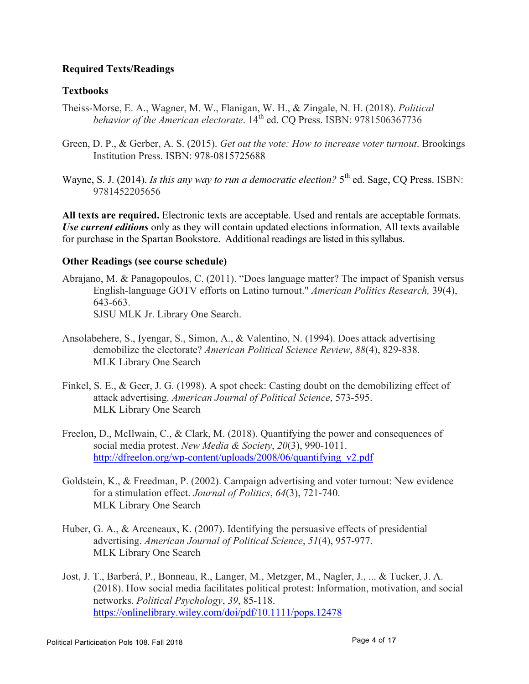# **Required Texts/Readings**

# **Textbooks**

- Theiss-Morse, E. A., Wagner, M. W., Flanigan, W. H., & Zingale, N. H. (2018). *Political behavior of the American electorate*.  $14^{th}$  ed. CO Press. ISBN: 9781506367736
- Green, D. P., & Gerber, A. S. (2015). *Get out the vote: How to increase voter turnout*. Brookings Institution Press. ISBN: 978-0815725688
- Wayne, S. J. (2014). *Is this any way to run a democratic election*?  $5<sup>th</sup>$  ed. Sage, CQ Press. ISBN: 9781452205656

**All texts are required.** Electronic texts are acceptable. Used and rentals are acceptable formats. *Use current editions* only as they will contain updated elections information. All texts available for purchase in the Spartan Bookstore. Additional readings are listed in this syllabus.

## **Other Readings (see course schedule)**

- Abrajano, M. & Panagopoulos, C. (2011). "Does language matter? The impact of Spanish versus English-language GOTV efforts on Latino turnout." *American Politics Research,* 39(4), 643-663. SJSU MLK Jr. Library One Search.
- Ansolabehere, S., Iyengar, S., Simon, A., & Valentino, N. (1994). Does attack advertising demobilize the electorate? *American Political Science Review*, *88*(4), 829-838.
- MLK Library One Search
- Finkel, S. E., & Geer, J. G. (1998). A spot check: Casting doubt on the demobilizing effect of attack advertising. *American Journal of Political Science*, 573-595. MLK Library One Search
- Freelon, D., McIlwain, C., & Clark, M. (2018). Quantifying the power and consequences of social media protest. *New Media & Society*, *20*(3), 990-1011. http://dfreelon.org/wp-content/uploads/2008/06/quantifying\_v2.pdf
- Goldstein, K., & Freedman, P. (2002). Campaign advertising and voter turnout: New evidence for a stimulation effect. *Journal of Politics*, *64*(3), 721-740. MLK Library One Search
- Huber, G. A., & Arceneaux, K. (2007). Identifying the persuasive effects of presidential advertising. *American Journal of Political Science*, *51*(4), 957-977. MLK Library One Search
- Jost, J. T., Barberá, P., Bonneau, R., Langer, M., Metzger, M., Nagler, J., ... & Tucker, J. A. (2018). How social media facilitates political protest: Information, motivation, and social networks. *Political Psychology*, *39*, 85-118. https://onlinelibrary.wiley.com/doi/pdf/10.1111/pops.12478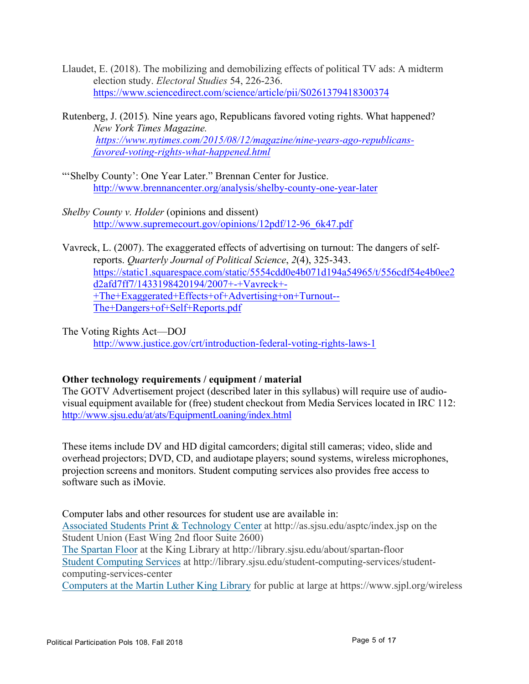- Llaudet, E. (2018). The mobilizing and demobilizing effects of political TV ads: A midterm election study. *Electoral Studies* 54, 226-236. https://www.sciencedirect.com/science/article/pii/S0261379418300374
- Rutenberg, J. (2015)*.* Nine years ago, Republicans favored voting rights. What happened? *New York Times Magazine. https://www.nytimes.com/2015/08/12/magazine/nine-years-ago-republicansfavored-voting-rights-what-happened.html*
- "'Shelby County': One Year Later." Brennan Center for Justice. http://www.brennancenter.org/analysis/shelby-county-one-year-later
- *Shelby County v. Holder* (opinions and dissent) http://www.supremecourt.gov/opinions/12pdf/12-96\_6k47.pdf
- Vavreck, L. (2007). The exaggerated effects of advertising on turnout: The dangers of selfreports. *Quarterly Journal of Political Science*, *2*(4), 325-343. https://static1.squarespace.com/static/5554cdd0e4b071d194a54965/t/556cdf54e4b0ee2 d2afd7ff7/1433198420194/2007+-+Vavreck+- +The+Exaggerated+Effects+of+Advertising+on+Turnout-- The+Dangers+of+Self+Reports.pdf
- The Voting Rights Act—DOJ http://www.justice.gov/crt/introduction-federal-voting-rights-laws-1

# **Other technology requirements / equipment / material**

The GOTV Advertisement project (described later in this syllabus) will require use of audiovisual equipment available for (free) student checkout from Media Services located in IRC 112: http://www.sjsu.edu/at/ats/EquipmentLoaning/index.html

These items include DV and HD digital camcorders; digital still cameras; video, slide and overhead projectors; DVD, CD, and audiotape players; sound systems, wireless microphones, projection screens and monitors. Student computing services also provides free access to software such as iMovie.

Computer labs and other resources for student use are available in: Associated Students Print & Technology Center at http://as.sjsu.edu/asptc/index.jsp on the Student Union (East Wing 2nd floor Suite 2600) The Spartan Floor at the King Library at http://library.sjsu.edu/about/spartan-floor

Student Computing Services at http://library.sjsu.edu/student-computing-services/studentcomputing-services-center

Computers at the Martin Luther King Library for public at large at https://www.sjpl.org/wireless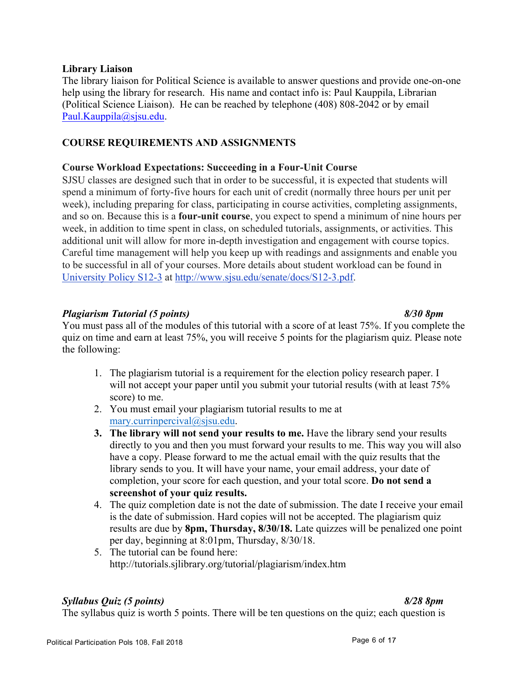### **Library Liaison**

The library liaison for Political Science is available to answer questions and provide one-on-one help using the library for research. His name and contact info is: Paul Kauppila, Librarian (Political Science Liaison). He can be reached by telephone (408) 808-2042 or by email Paul.Kauppila@sjsu.edu.

# **COURSE REQUIREMENTS AND ASSIGNMENTS**

# **Course Workload Expectations: Succeeding in a Four-Unit Course**

SJSU classes are designed such that in order to be successful, it is expected that students will spend a minimum of forty-five hours for each unit of credit (normally three hours per unit per week), including preparing for class, participating in course activities, completing assignments, and so on. Because this is a **four-unit course**, you expect to spend a minimum of nine hours per week, in addition to time spent in class, on scheduled tutorials, assignments, or activities. This additional unit will allow for more in-depth investigation and engagement with course topics. Careful time management will help you keep up with readings and assignments and enable you to be successful in all of your courses. More details about student workload can be found in University Policy S12-3 at http://www.sjsu.edu/senate/docs/S12-3.pdf.

# *Plagiarism Tutorial (5 points) 8/30 8pm*

You must pass all of the modules of this tutorial with a score of at least 75%. If you complete the quiz on time and earn at least 75%, you will receive 5 points for the plagiarism quiz. Please note the following:

- 1. The plagiarism tutorial is a requirement for the election policy research paper. I will not accept your paper until you submit your tutorial results (with at least  $75\%$ ) score) to me.
- 2. You must email your plagiarism tutorial results to me at mary.currinpercival@sjsu.edu.
- **3. The library will not send your results to me.** Have the library send your results directly to you and then you must forward your results to me. This way you will also have a copy. Please forward to me the actual email with the quiz results that the library sends to you. It will have your name, your email address, your date of completion, your score for each question, and your total score. **Do not send a screenshot of your quiz results.**
- 4. The quiz completion date is not the date of submission. The date I receive your email is the date of submission. Hard copies will not be accepted. The plagiarism quiz results are due by **8pm, Thursday, 8/30/18.** Late quizzes will be penalized one point per day, beginning at 8:01pm, Thursday, 8/30/18.
- 5. The tutorial can be found here: http://tutorials.sjlibrary.org/tutorial/plagiarism/index.htm

# *Syllabus Quiz (5 points) 8/28 8pm*

The syllabus quiz is worth 5 points. There will be ten questions on the quiz; each question is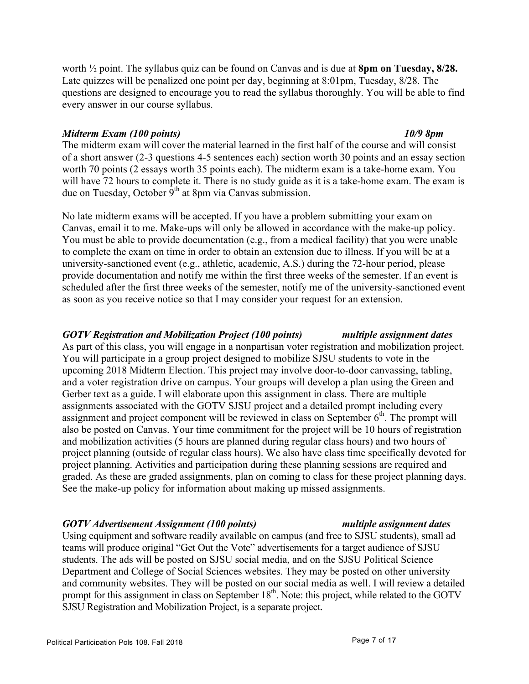worth ½ point. The syllabus quiz can be found on Canvas and is due at **8pm on Tuesday, 8/28.**  Late quizzes will be penalized one point per day, beginning at 8:01pm, Tuesday, 8/28. The questions are designed to encourage you to read the syllabus thoroughly. You will be able to find every answer in our course syllabus.

#### *Midterm Exam (100 points) 10/9 8pm*

The midterm exam will cover the material learned in the first half of the course and will consist of a short answer (2-3 questions 4-5 sentences each) section worth 30 points and an essay section worth 70 points (2 essays worth 35 points each). The midterm exam is a take-home exam. You will have 72 hours to complete it. There is no study guide as it is a take-home exam. The exam is due on Tuesday, October  $9<sup>th</sup>$  at 8pm via Canvas submission.

No late midterm exams will be accepted. If you have a problem submitting your exam on Canvas, email it to me. Make-ups will only be allowed in accordance with the make-up policy. You must be able to provide documentation (e.g., from a medical facility) that you were unable to complete the exam on time in order to obtain an extension due to illness. If you will be at a university-sanctioned event (e.g., athletic, academic, A.S.) during the 72-hour period, please provide documentation and notify me within the first three weeks of the semester. If an event is scheduled after the first three weeks of the semester, notify me of the university-sanctioned event as soon as you receive notice so that I may consider your request for an extension.

# *GOTV Registration and Mobilization Project (100 points) multiple assignment dates*

As part of this class, you will engage in a nonpartisan voter registration and mobilization project. You will participate in a group project designed to mobilize SJSU students to vote in the upcoming 2018 Midterm Election. This project may involve door-to-door canvassing, tabling, and a voter registration drive on campus. Your groups will develop a plan using the Green and Gerber text as a guide. I will elaborate upon this assignment in class. There are multiple assignments associated with the GOTV SJSU project and a detailed prompt including every assignment and project component will be reviewed in class on September  $6<sup>th</sup>$ . The prompt will also be posted on Canvas. Your time commitment for the project will be 10 hours of registration and mobilization activities (5 hours are planned during regular class hours) and two hours of project planning (outside of regular class hours). We also have class time specifically devoted for project planning. Activities and participation during these planning sessions are required and graded. As these are graded assignments, plan on coming to class for these project planning days. See the make-up policy for information about making up missed assignments.

# *GOTV Advertisement Assignment (100 points) multiple assignment dates*

Using equipment and software readily available on campus (and free to SJSU students), small ad teams will produce original "Get Out the Vote" advertisements for a target audience of SJSU students. The ads will be posted on SJSU social media, and on the SJSU Political Science Department and College of Social Sciences websites. They may be posted on other university and community websites. They will be posted on our social media as well. I will review a detailed prompt for this assignment in class on September  $18<sup>th</sup>$ . Note: this project, while related to the GOTV SJSU Registration and Mobilization Project, is a separate project.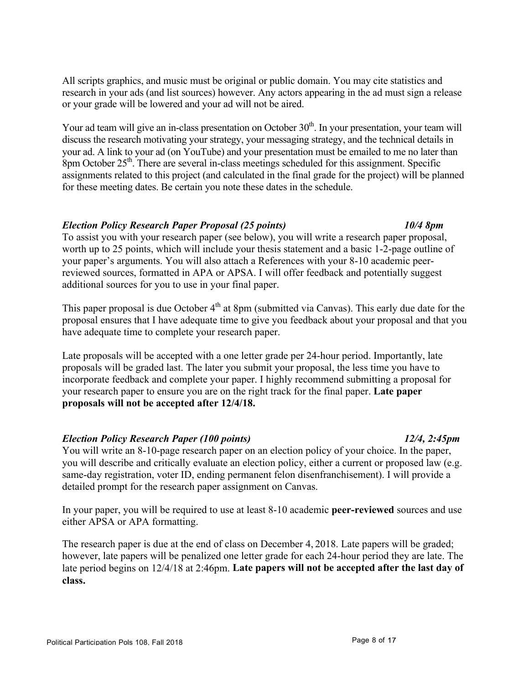All scripts graphics, and music must be original or public domain. You may cite statistics and research in your ads (and list sources) however. Any actors appearing in the ad must sign a release or your grade will be lowered and your ad will not be aired.

Your ad team will give an in-class presentation on October  $30<sup>th</sup>$ . In your presentation, your team will discuss the research motivating your strategy, your messaging strategy, and the technical details in your ad. A link to your ad (on YouTube) and your presentation must be emailed to me no later than 8pm October  $25<sup>th</sup>$ . There are several in-class meetings scheduled for this assignment. Specific assignments related to this project (and calculated in the final grade for the project) will be planned for these meeting dates. Be certain you note these dates in the schedule.

## *Election Policy Research Paper Proposal (25 points) 10/4 8pm*

To assist you with your research paper (see below), you will write a research paper proposal, worth up to 25 points, which will include your thesis statement and a basic 1-2-page outline of your paper's arguments. You will also attach a References with your 8-10 academic peerreviewed sources, formatted in APA or APSA. I will offer feedback and potentially suggest additional sources for you to use in your final paper.

This paper proposal is due October  $4<sup>th</sup>$  at 8pm (submitted via Canvas). This early due date for the proposal ensures that I have adequate time to give you feedback about your proposal and that you have adequate time to complete your research paper.

Late proposals will be accepted with a one letter grade per 24-hour period. Importantly, late proposals will be graded last. The later you submit your proposal, the less time you have to incorporate feedback and complete your paper. I highly recommend submitting a proposal for your research paper to ensure you are on the right track for the final paper. **Late paper proposals will not be accepted after 12/4/18.**

# *Election Policy Research Paper (100 points) 12/4, 2:45pm*

You will write an 8-10-page research paper on an election policy of your choice. In the paper, you will describe and critically evaluate an election policy, either a current or proposed law (e.g. same-day registration, voter ID, ending permanent felon disenfranchisement). I will provide a detailed prompt for the research paper assignment on Canvas.

In your paper, you will be required to use at least 8-10 academic **peer-reviewed** sources and use either APSA or APA formatting.

The research paper is due at the end of class on December 4, 2018. Late papers will be graded; however, late papers will be penalized one letter grade for each 24-hour period they are late. The late period begins on 12/4/18 at 2:46pm. **Late papers will not be accepted after the last day of class.**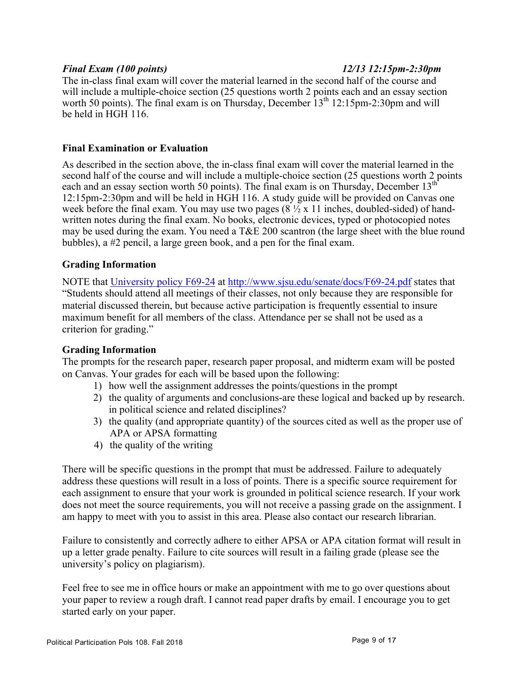#### *Final Exam (100 points) 12/13 12:15pm-2:30pm*

The in-class final exam will cover the material learned in the second half of the course and will include a multiple-choice section (25 questions worth 2 points each and an essay section worth 50 points). The final exam is on Thursday, December  $13<sup>th</sup> 12:15pm-2:30pm$  and will be held in HGH 116.

#### **Final Examination or Evaluation**

As described in the section above, the in-class final exam will cover the material learned in the second half of the course and will include a multiple-choice section (25 questions worth 2 points each and an essay section worth 50 points). The final exam is on Thursday, December 13<sup>th</sup> 12:15pm-2:30pm and will be held in HGH 116. A study guide will be provided on Canvas one week before the final exam. You may use two pages  $(8 \frac{1}{2} \times 11)$  inches, doubled-sided) of handwritten notes during the final exam. No books, electronic devices, typed or photocopied notes may be used during the exam. You need a T&E 200 scantron (the large sheet with the blue round bubbles), a #2 pencil, a large green book, and a pen for the final exam.

#### **Grading Information**

NOTE that University policy F69-24 at http://www.sjsu.edu/senate/docs/F69-24.pdf states that "Students should attend all meetings of their classes, not only because they are responsible for material discussed therein, but because active participation is frequently essential to insure maximum benefit for all members of the class. Attendance per se shall not be used as a criterion for grading."

#### **Grading Information**

The prompts for the research paper, research paper proposal, and midterm exam will be posted on Canvas. Your grades for each will be based upon the following:

- 1) how well the assignment addresses the points/questions in the prompt
- 2) the quality of arguments and conclusions-are these logical and backed up by research. in political science and related disciplines?
- 3) the quality (and appropriate quantity) of the sources cited as well as the proper use of APA or APSA formatting
- 4) the quality of the writing

There will be specific questions in the prompt that must be addressed. Failure to adequately address these questions will result in a loss of points. There is a specific source requirement for each assignment to ensure that your work is grounded in political science research. If your work does not meet the source requirements, you will not receive a passing grade on the assignment. I am happy to meet with you to assist in this area. Please also contact our research librarian.

Failure to consistently and correctly adhere to either APSA or APA citation format will result in up a letter grade penalty. Failure to cite sources will result in a failing grade (please see the university's policy on plagiarism).

Feel free to see me in office hours or make an appointment with me to go over questions about your paper to review a rough draft. I cannot read paper drafts by email. I encourage you to get started early on your paper.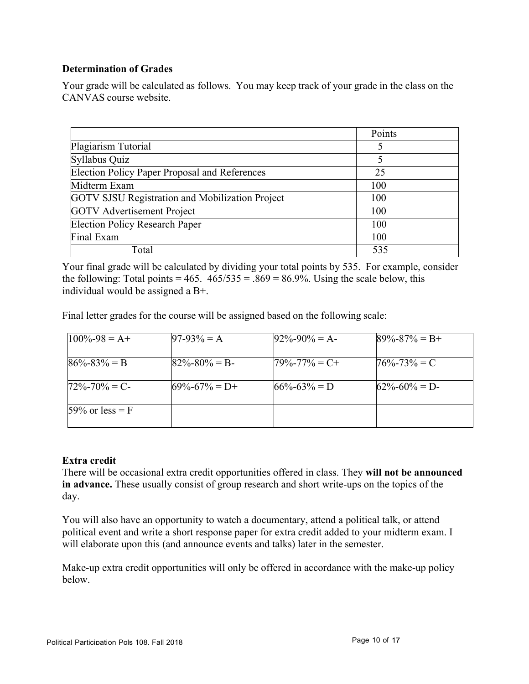# **Determination of Grades**

Your grade will be calculated as follows. You may keep track of your grade in the class on the CANVAS course website.

|                                                        | Points |
|--------------------------------------------------------|--------|
| Plagiarism Tutorial                                    |        |
| Syllabus Quiz                                          | 5      |
| Election Policy Paper Proposal and References          | 25     |
| Midterm Exam                                           | 100    |
| <b>GOTV SJSU Registration and Mobilization Project</b> | 100    |
| <b>GOTV</b> Advertisement Project                      | 100    |
| <b>Election Policy Research Paper</b>                  | 100    |
| Final Exam                                             | 100    |
| Total                                                  | 535    |

Your final grade will be calculated by dividing your total points by 535. For example, consider the following: Total points =  $465$ .  $465/535 = 0.869 = 86.9\%$ . Using the scale below, this individual would be assigned a B+.

Final letter grades for the course will be assigned based on the following scale:

| $100\% - 98 = A +$ | $97-93\% = A$       | $92\% - 90\% = A$   | $89\% - 87\% = B +$ |
|--------------------|---------------------|---------------------|---------------------|
| $86\% - 83\% = B$  | $82\% - 80\% = B$   | $79\% - 77\% = C +$ | $76\% - 73\% = C$   |
| $72\% - 70\% = C$  | $69\% - 67\% = D +$ | $66\% - 63\% = D$   | $62\% - 60\% = D$   |
| 59% or less = $F$  |                     |                     |                     |

# **Extra credit**

There will be occasional extra credit opportunities offered in class. They **will not be announced in advance.** These usually consist of group research and short write-ups on the topics of the day.

You will also have an opportunity to watch a documentary, attend a political talk, or attend political event and write a short response paper for extra credit added to your midterm exam. I will elaborate upon this (and announce events and talks) later in the semester.

Make-up extra credit opportunities will only be offered in accordance with the make-up policy below.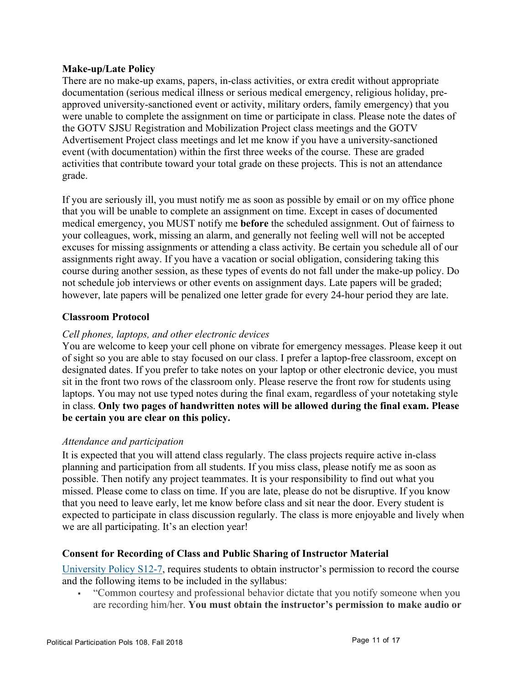## **Make-up/Late Policy**

There are no make-up exams, papers, in-class activities, or extra credit without appropriate documentation (serious medical illness or serious medical emergency, religious holiday, preapproved university-sanctioned event or activity, military orders, family emergency) that you were unable to complete the assignment on time or participate in class. Please note the dates of the GOTV SJSU Registration and Mobilization Project class meetings and the GOTV Advertisement Project class meetings and let me know if you have a university-sanctioned event (with documentation) within the first three weeks of the course. These are graded activities that contribute toward your total grade on these projects. This is not an attendance grade.

If you are seriously ill, you must notify me as soon as possible by email or on my office phone that you will be unable to complete an assignment on time. Except in cases of documented medical emergency, you MUST notify me **before** the scheduled assignment. Out of fairness to your colleagues, work, missing an alarm, and generally not feeling well will not be accepted excuses for missing assignments or attending a class activity. Be certain you schedule all of our assignments right away. If you have a vacation or social obligation, considering taking this course during another session, as these types of events do not fall under the make-up policy. Do not schedule job interviews or other events on assignment days. Late papers will be graded; however, late papers will be penalized one letter grade for every 24-hour period they are late.

## **Classroom Protocol**

## *Cell phones, laptops, and other electronic devices*

You are welcome to keep your cell phone on vibrate for emergency messages. Please keep it out of sight so you are able to stay focused on our class. I prefer a laptop-free classroom, except on designated dates. If you prefer to take notes on your laptop or other electronic device, you must sit in the front two rows of the classroom only. Please reserve the front row for students using laptops. You may not use typed notes during the final exam, regardless of your notetaking style in class. **Only two pages of handwritten notes will be allowed during the final exam. Please be certain you are clear on this policy.**

#### *Attendance and participation*

It is expected that you will attend class regularly. The class projects require active in-class planning and participation from all students. If you miss class, please notify me as soon as possible. Then notify any project teammates. It is your responsibility to find out what you missed. Please come to class on time. If you are late, please do not be disruptive. If you know that you need to leave early, let me know before class and sit near the door. Every student is expected to participate in class discussion regularly. The class is more enjoyable and lively when we are all participating. It's an election year!

# **Consent for Recording of Class and Public Sharing of Instructor Material**

University Policy S12-7, requires students to obtain instructor's permission to record the course and the following items to be included in the syllabus:

§ "Common courtesy and professional behavior dictate that you notify someone when you are recording him/her. **You must obtain the instructor's permission to make audio or**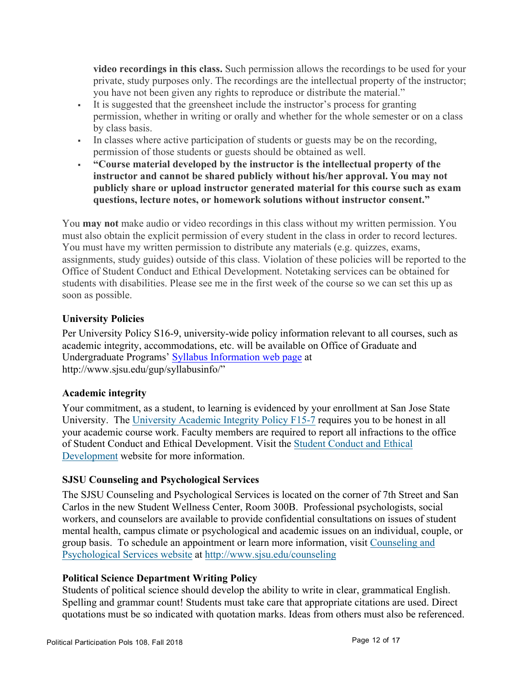**video recordings in this class.** Such permission allows the recordings to be used for your private, study purposes only. The recordings are the intellectual property of the instructor; you have not been given any rights to reproduce or distribute the material."

- § It is suggested that the greensheet include the instructor's process for granting permission, whether in writing or orally and whether for the whole semester or on a class by class basis.
- § In classes where active participation of students or guests may be on the recording, permission of those students or guests should be obtained as well.
- § **"Course material developed by the instructor is the intellectual property of the instructor and cannot be shared publicly without his/her approval. You may not publicly share or upload instructor generated material for this course such as exam questions, lecture notes, or homework solutions without instructor consent."**

You **may not** make audio or video recordings in this class without my written permission. You must also obtain the explicit permission of every student in the class in order to record lectures. You must have my written permission to distribute any materials (e.g. quizzes, exams, assignments, study guides) outside of this class. Violation of these policies will be reported to the Office of Student Conduct and Ethical Development. Notetaking services can be obtained for students with disabilities. Please see me in the first week of the course so we can set this up as soon as possible.

# **University Policies**

Per University Policy S16-9, university-wide policy information relevant to all courses, such as academic integrity, accommodations, etc. will be available on Office of Graduate and Undergraduate Programs' Syllabus Information web page at http://www.sjsu.edu/gup/syllabusinfo/"

# **Academic integrity**

Your commitment, as a student, to learning is evidenced by your enrollment at San Jose State University. The University Academic Integrity Policy F15-7 requires you to be honest in all your academic course work. Faculty members are required to report all infractions to the office of Student Conduct and Ethical Development. Visit the Student Conduct and Ethical Development website for more information.

# **SJSU Counseling and Psychological Services**

The SJSU Counseling and Psychological Services is located on the corner of 7th Street and San Carlos in the new Student Wellness Center, Room 300B. Professional psychologists, social workers, and counselors are available to provide confidential consultations on issues of student mental health, campus climate or psychological and academic issues on an individual, couple, or group basis. To schedule an appointment or learn more information, visit Counseling and Psychological Services website at http://www.sjsu.edu/counseling

# **Political Science Department Writing Policy**

Students of political science should develop the ability to write in clear, grammatical English. Spelling and grammar count! Students must take care that appropriate citations are used. Direct quotations must be so indicated with quotation marks. Ideas from others must also be referenced.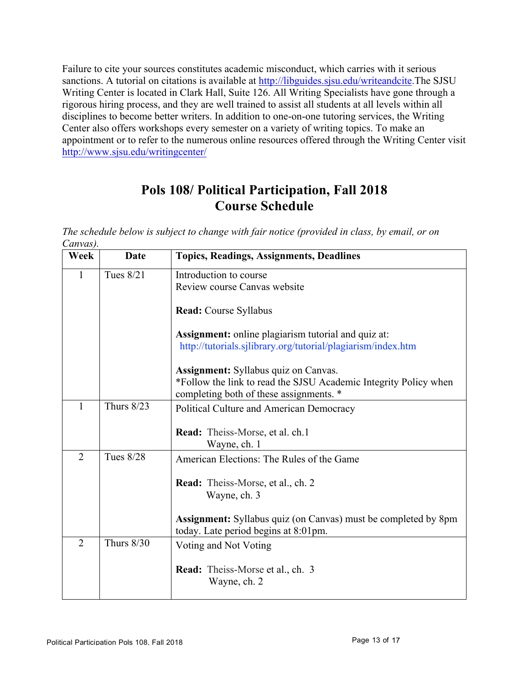Failure to cite your sources constitutes academic misconduct, which carries with it serious sanctions. A tutorial on citations is available at http://libguides.sjsu.edu/writeandcite.The SJSU Writing Center is located in Clark Hall, Suite 126. All Writing Specialists have gone through a rigorous hiring process, and they are well trained to assist all students at all levels within all disciplines to become better writers. In addition to one-on-one tutoring services, the Writing Center also offers workshops every semester on a variety of writing topics. To make an appointment or to refer to the numerous online resources offered through the Writing Center visit http://www.sjsu.edu/writingcenter/

# **Pols 108/ Political Participation, Fall 2018 Course Schedule**

| The schedule below is subject to change with fair notice (provided in class, by email, or on |  |  |
|----------------------------------------------------------------------------------------------|--|--|
| Canvas).                                                                                     |  |  |

| Week           | Date             | <b>Topics, Readings, Assignments, Deadlines</b>                                                               |
|----------------|------------------|---------------------------------------------------------------------------------------------------------------|
| 1              | Tues 8/21        | Introduction to course                                                                                        |
|                |                  | Review course Canvas website                                                                                  |
|                |                  | Read: Course Syllabus                                                                                         |
|                |                  | <b>Assignment:</b> online plagiarism tutorial and quiz at:                                                    |
|                |                  | http://tutorials.sjlibrary.org/tutorial/plagiarism/index.htm                                                  |
|                |                  |                                                                                                               |
|                |                  | <b>Assignment:</b> Syllabus quiz on Canvas.                                                                   |
|                |                  | *Follow the link to read the SJSU Academic Integrity Policy when                                              |
|                |                  | completing both of these assignments. *                                                                       |
| 1              | Thurs $8/23$     | Political Culture and American Democracy                                                                      |
|                |                  | Read: Theiss-Morse, et al. ch.1<br>Wayne, ch. 1                                                               |
| $\overline{2}$ | <b>Tues 8/28</b> | American Elections: The Rules of the Game                                                                     |
|                |                  | Read: Theiss-Morse, et al., ch. 2                                                                             |
|                |                  | Wayne, ch. 3                                                                                                  |
|                |                  | <b>Assignment:</b> Syllabus quiz (on Canvas) must be completed by 8pm<br>today. Late period begins at 8:01pm. |
| $\overline{2}$ | Thurs $8/30$     | Voting and Not Voting                                                                                         |
|                |                  | Read: Theiss-Morse et al., ch. 3<br>Wayne, ch. 2                                                              |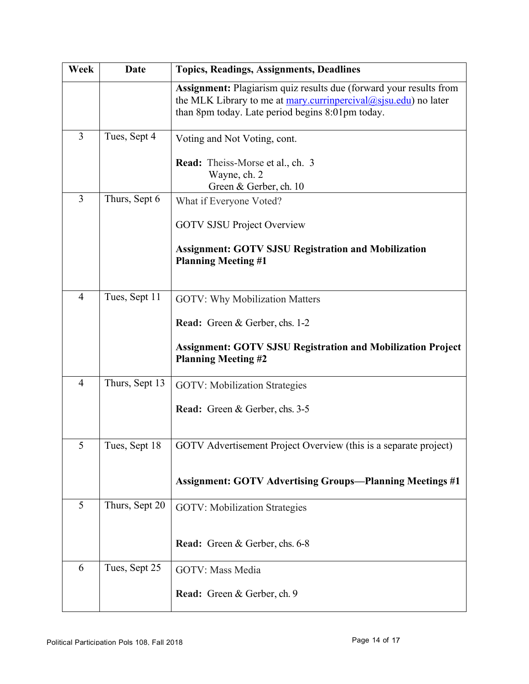| Week           | Date           | <b>Topics, Readings, Assignments, Deadlines</b>                                                                                                                                                                  |
|----------------|----------------|------------------------------------------------------------------------------------------------------------------------------------------------------------------------------------------------------------------|
|                |                | <b>Assignment:</b> Plagiarism quiz results due (forward your results from<br>the MLK Library to me at $\frac{mary.currinperiod(0,sjsu.edu)}{molar}$ no later<br>than 8pm today. Late period begins 8:01pm today. |
| $\overline{3}$ | Tues, Sept 4   | Voting and Not Voting, cont.                                                                                                                                                                                     |
|                |                | <b>Read:</b> Theiss-Morse et al., ch. 3<br>Wayne, ch. 2<br>Green & Gerber, ch. 10                                                                                                                                |
| $\overline{3}$ | Thurs, Sept 6  | What if Everyone Voted?                                                                                                                                                                                          |
|                |                | <b>GOTV SJSU Project Overview</b>                                                                                                                                                                                |
|                |                | <b>Assignment: GOTV SJSU Registration and Mobilization</b><br><b>Planning Meeting #1</b>                                                                                                                         |
| $\overline{4}$ | Tues, Sept 11  | <b>GOTV: Why Mobilization Matters</b>                                                                                                                                                                            |
|                |                | <b>Read:</b> Green & Gerber, chs. 1-2                                                                                                                                                                            |
|                |                | <b>Assignment: GOTV SJSU Registration and Mobilization Project</b><br><b>Planning Meeting #2</b>                                                                                                                 |
| $\overline{4}$ | Thurs, Sept 13 | <b>GOTV: Mobilization Strategies</b>                                                                                                                                                                             |
|                |                | <b>Read:</b> Green & Gerber, chs. 3-5                                                                                                                                                                            |
| 5              | Tues, Sept 18  | GOTV Advertisement Project Overview (this is a separate project)                                                                                                                                                 |
|                |                | <b>Assignment: GOTV Advertising Groups—Planning Meetings #1</b>                                                                                                                                                  |
| 5              | Thurs, Sept 20 | <b>GOTV: Mobilization Strategies</b>                                                                                                                                                                             |
|                |                | Read: Green & Gerber, chs. 6-8                                                                                                                                                                                   |
| 6              | Tues, Sept 25  | <b>GOTV: Mass Media</b>                                                                                                                                                                                          |
|                |                | Read: Green & Gerber, ch. 9                                                                                                                                                                                      |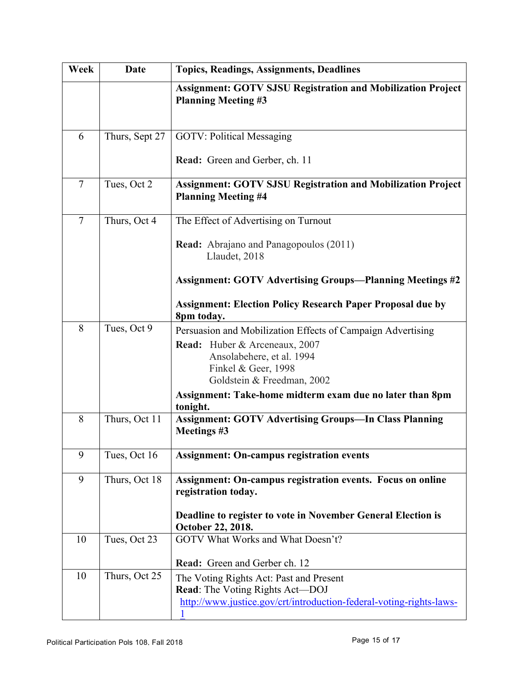| Week           | <b>Date</b>    | Topics, Readings, Assignments, Deadlines                                                                                                                |  |
|----------------|----------------|---------------------------------------------------------------------------------------------------------------------------------------------------------|--|
|                |                | <b>Assignment: GOTV SJSU Registration and Mobilization Project</b><br><b>Planning Meeting #3</b>                                                        |  |
| 6              | Thurs, Sept 27 | <b>GOTV: Political Messaging</b>                                                                                                                        |  |
|                |                | Read: Green and Gerber, ch. 11                                                                                                                          |  |
| $\overline{7}$ | Tues, Oct 2    | <b>Assignment: GOTV SJSU Registration and Mobilization Project</b><br><b>Planning Meeting #4</b>                                                        |  |
| $\overline{7}$ | Thurs, Oct 4   | The Effect of Advertising on Turnout                                                                                                                    |  |
|                |                | <b>Read:</b> Abrajano and Panagopoulos (2011)<br>Llaudet, 2018                                                                                          |  |
|                |                | <b>Assignment: GOTV Advertising Groups-Planning Meetings #2</b>                                                                                         |  |
|                |                | <b>Assignment: Election Policy Research Paper Proposal due by</b><br>8pm today.                                                                         |  |
| 8              | Tues, Oct 9    | Persuasion and Mobilization Effects of Campaign Advertising<br><b>Read:</b> Huber & Arceneaux, 2007<br>Ansolabehere, et al. 1994<br>Finkel & Geer, 1998 |  |
|                |                | Goldstein & Freedman, 2002                                                                                                                              |  |
|                |                | Assignment: Take-home midterm exam due no later than 8pm<br>tonight.                                                                                    |  |
| 8              | Thurs, Oct 11  | <b>Assignment: GOTV Advertising Groups-In Class Planning</b><br>Meetings #3                                                                             |  |
| 9              | Tues, Oct 16   | <b>Assignment: On-campus registration events</b>                                                                                                        |  |
| 9              | Thurs, Oct 18  | <b>Assignment: On-campus registration events. Focus on online</b><br>registration today.                                                                |  |
|                |                | Deadline to register to vote in November General Election is<br>October 22, 2018.                                                                       |  |
| 10             | Tues, Oct 23   | GOTV What Works and What Doesn't?                                                                                                                       |  |
| 10             | Thurs, Oct 25  | Read: Green and Gerber ch. 12                                                                                                                           |  |
|                |                | The Voting Rights Act: Past and Present<br><b>Read:</b> The Voting Rights Act-DOJ                                                                       |  |
|                |                | http://www.justice.gov/crt/introduction-federal-voting-rights-laws-                                                                                     |  |
|                |                |                                                                                                                                                         |  |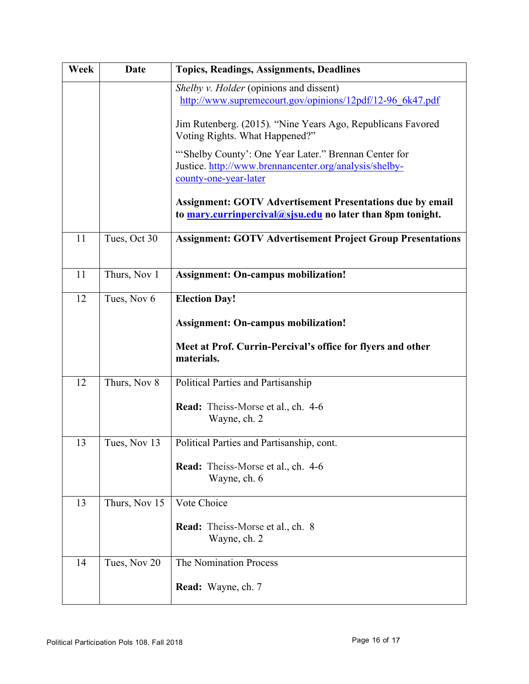| Week | Date          | <b>Topics, Readings, Assignments, Deadlines</b>                                                                                         |
|------|---------------|-----------------------------------------------------------------------------------------------------------------------------------------|
|      |               | Shelby v. Holder (opinions and dissent)<br>http://www.supremecourt.gov/opinions/12pdf/12-96_6k47.pdf                                    |
|      |               | Jim Rutenberg. (2015). "Nine Years Ago, Republicans Favored<br>Voting Rights. What Happened?"                                           |
|      |               | "Shelby County': One Year Later." Brennan Center for<br>Justice. http://www.brennancenter.org/analysis/shelby-<br>county-one-year-later |
|      |               | <b>Assignment: GOTV Advertisement Presentations due by email</b><br>to mary.currinpercival@sjsu.edu no later than 8pm tonight.          |
| 11   | Tues, Oct 30  | <b>Assignment: GOTV Advertisement Project Group Presentations</b>                                                                       |
| 11   | Thurs, Nov 1  | <b>Assignment: On-campus mobilization!</b>                                                                                              |
| 12   | Tues, Nov 6   | <b>Election Day!</b>                                                                                                                    |
|      |               | <b>Assignment: On-campus mobilization!</b>                                                                                              |
|      |               | Meet at Prof. Currin-Percival's office for flyers and other<br>materials.                                                               |
| 12   | Thurs, Nov 8  | Political Parties and Partisanship                                                                                                      |
|      |               | Read: Theiss-Morse et al., ch. 4-6<br>Wayne, ch. 2                                                                                      |
| 13   | Tues, Nov 13  | Political Parties and Partisanship, cont.                                                                                               |
|      |               | <b>Read:</b> Theiss-Morse et al., ch. 4-6<br>Wayne, ch. 6                                                                               |
| 13   | Thurs, Nov 15 | Vote Choice                                                                                                                             |
|      |               | Read: Theiss-Morse et al., ch. 8<br>Wayne, ch. 2                                                                                        |
| 14   | Tues, Nov 20  | The Nomination Process                                                                                                                  |
|      |               | Read: Wayne, ch. 7                                                                                                                      |